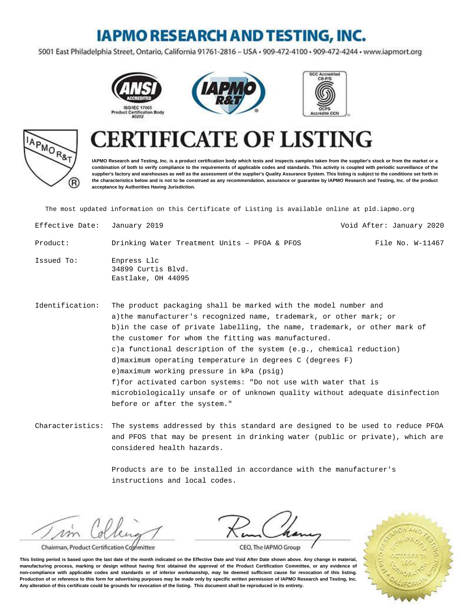### **IAPMO RESEARCH AND TESTING, INC.**

5001 East Philadelphia Street, Ontario, California 91761-2816 - USA · 909-472-4100 · 909-472-4244 · www.iapmort.org







# APMOR<sub>&T</sub> (R)

## **FICATE OF LISTING**

**IAPMO Research and Testing, Inc. is a product certification body which tests and inspects samples taken from the supplier's stock or from the market or a combination of both to verify compliance to the requirements of applicable codes and standards. This activity is coupled with periodic surveillance of the supplier's factory and warehouses as well as the assessment of the supplier's Quality Assurance System. This listing is subject to the conditions set forth in the characteristics below and is not to be construed as any recommendation, assurance or guarantee by IAPMO Research and Testing, Inc. of the product acceptance by Authorities Having Jurisdiction.**

The most updated information on this Certificate of Listing is available online at pld.iapmo.org

| Effective Date: January 2019 |                                                         | Void After: January 2020 |
|------------------------------|---------------------------------------------------------|--------------------------|
| Product:                     | Drinking Water Treatment Units - PFOA & PFOS            | File No. W-11467         |
| Issued To:                   | Enpress Llc<br>34899 Curtis Blvd.<br>Eastlake, OH 44095 |                          |

Identification: The product packaging shall be marked with the model number and a) the manufacturer's recognized name, trademark, or other mark; or b) in the case of private labelling, the name, trademark, or other mark of the customer for whom the fitting was manufactured. c) a functional description of the system  $(e.g.,$  chemical reduction) d) maximum operating temperature in degrees C (degrees F) e) maximum working pressure in kPa (psig) f) for activated carbon systems: "Do not use with water that is microbiologically unsafe or of unknown quality without adequate disinfection before or after the system."

Characteristics: The systems addressed by this standard are designed to be used to reduce PFOA and PFOS that may be present in drinking water (public or private), which are considered health hazards.

> Products are to be installed in accordance with the manufacturer's instructions and local codes.

 $\n *1*$ 

Chairman, Product Certification Committee



CEO, The IAPMO Group

**This listing period is based upon the last date of the month indicated on the Effective Date and Void After Date shown above. Any change in material, manufacturing process, marking or design without having first obtained the approval of the Product Certification Committee, or any evidence of non-compliance with applicable codes and standards or of inferior workmanship, may be deemed sufficient cause for revocation of this listing. Production of or reference to this form for advertising purposes may be made only by specific written permission of IAPMO Research and Testing, Inc. Any alteration of this certificate could be grounds for revocation of the listing. This document shall be reproduced in its entirety.**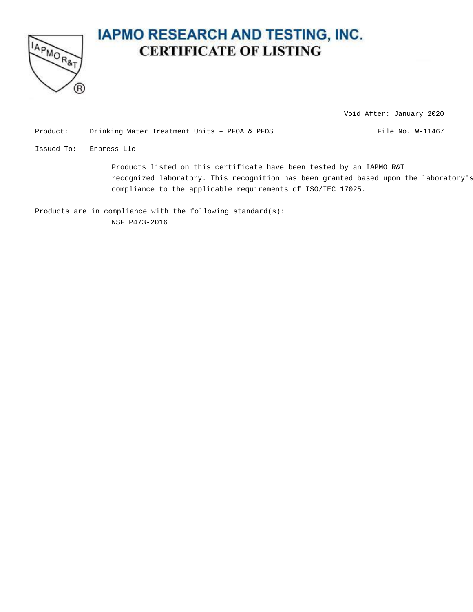

### **IAPMO RESEARCH AND TESTING, INC. CERTIFICATE OF LISTING**

Void After: January 2020

Product: Drinking Water Treatment Units - PFOA & PFOS File No. W-11467

Issued To: Enpress Llc

Products listed on this certificate have been tested by an IAPMO R&T recognized laboratory. This recognition has been granted based upon the laboratory's compliance to the applicable requirements of ISO/IEC 17025.

Products are in compliance with the following standard(s): NSF P473-2016